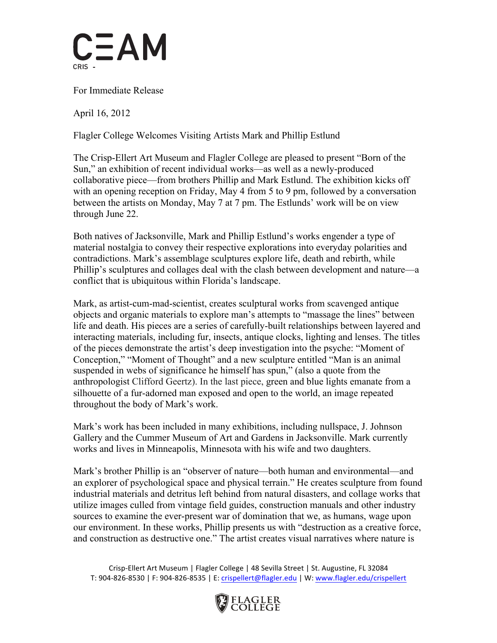

For Immediate Release

April 16, 2012

Flagler College Welcomes Visiting Artists Mark and Phillip Estlund

The Crisp-Ellert Art Museum and Flagler College are pleased to present "Born of the Sun," an exhibition of recent individual works—as well as a newly-produced collaborative piece—from brothers Phillip and Mark Estlund. The exhibition kicks off with an opening reception on Friday, May 4 from 5 to 9 pm, followed by a conversation between the artists on Monday, May 7 at 7 pm. The Estlunds' work will be on view through June 22.

Both natives of Jacksonville, Mark and Phillip Estlund's works engender a type of material nostalgia to convey their respective explorations into everyday polarities and contradictions. Mark's assemblage sculptures explore life, death and rebirth, while Phillip's sculptures and collages deal with the clash between development and nature—a conflict that is ubiquitous within Florida's landscape.

Mark, as artist-cum-mad-scientist, creates sculptural works from scavenged antique objects and organic materials to explore man's attempts to "massage the lines" between life and death. His pieces are a series of carefully-built relationships between layered and interacting materials, including fur, insects, antique clocks, lighting and lenses. The titles of the pieces demonstrate the artist's deep investigation into the psyche: "Moment of Conception," "Moment of Thought" and a new sculpture entitled "Man is an animal suspended in webs of significance he himself has spun," (also a quote from the anthropologist Clifford Geertz). In the last piece, green and blue lights emanate from a silhouette of a fur-adorned man exposed and open to the world, an image repeated throughout the body of Mark's work.

Mark's work has been included in many exhibitions, including nullspace, J. Johnson Gallery and the Cummer Museum of Art and Gardens in Jacksonville. Mark currently works and lives in Minneapolis, Minnesota with his wife and two daughters.

Mark's brother Phillip is an "observer of nature—both human and environmental—and an explorer of psychological space and physical terrain." He creates sculpture from found industrial materials and detritus left behind from natural disasters, and collage works that utilize images culled from vintage field guides, construction manuals and other industry sources to examine the ever-present war of domination that we, as humans, wage upon our environment. In these works, Phillip presents us with "destruction as a creative force, and construction as destructive one." The artist creates visual narratives where nature is

Crisp-Ellert Art Museum | Flagler College | 48 Sevilla Street | St. Augustine, FL 32084 T: 904-826-8530 | F: 904-826-8535 | E: crispellert@flagler.edu | W: www.flagler.edu/crispellert